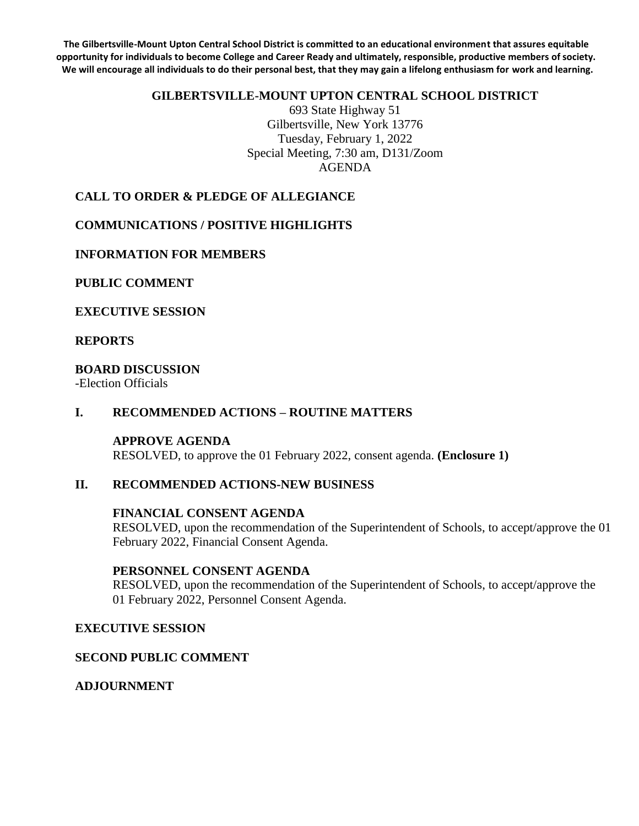**The Gilbertsville-Mount Upton Central School District is committed to an educational environment that assures equitable opportunity for individuals to become College and Career Ready and ultimately, responsible, productive members of society. We will encourage all individuals to do their personal best, that they may gain a lifelong enthusiasm for work and learning.**

#### **GILBERTSVILLE-MOUNT UPTON CENTRAL SCHOOL DISTRICT**

693 State Highway 51 Gilbertsville, New York 13776 Tuesday, February 1, 2022 Special Meeting, 7:30 am, D131/Zoom AGENDA

## **CALL TO ORDER & PLEDGE OF ALLEGIANCE**

## **COMMUNICATIONS / POSITIVE HIGHLIGHTS**

#### **INFORMATION FOR MEMBERS**

### **PUBLIC COMMENT**

#### **EXECUTIVE SESSION**

## **REPORTS**

#### **BOARD DISCUSSION**

-Election Officials

### **I. RECOMMENDED ACTIONS – ROUTINE MATTERS**

## **APPROVE AGENDA**

RESOLVED, to approve the 01 February 2022, consent agenda. **(Enclosure 1)**

## **II. RECOMMENDED ACTIONS-NEW BUSINESS**

#### **FINANCIAL CONSENT AGENDA**

RESOLVED, upon the recommendation of the Superintendent of Schools, to accept/approve the 01 February 2022, Financial Consent Agenda.

#### **PERSONNEL CONSENT AGENDA**

RESOLVED, upon the recommendation of the Superintendent of Schools, to accept/approve the 01 February 2022, Personnel Consent Agenda.

#### **EXECUTIVE SESSION**

## **SECOND PUBLIC COMMENT**

## **ADJOURNMENT**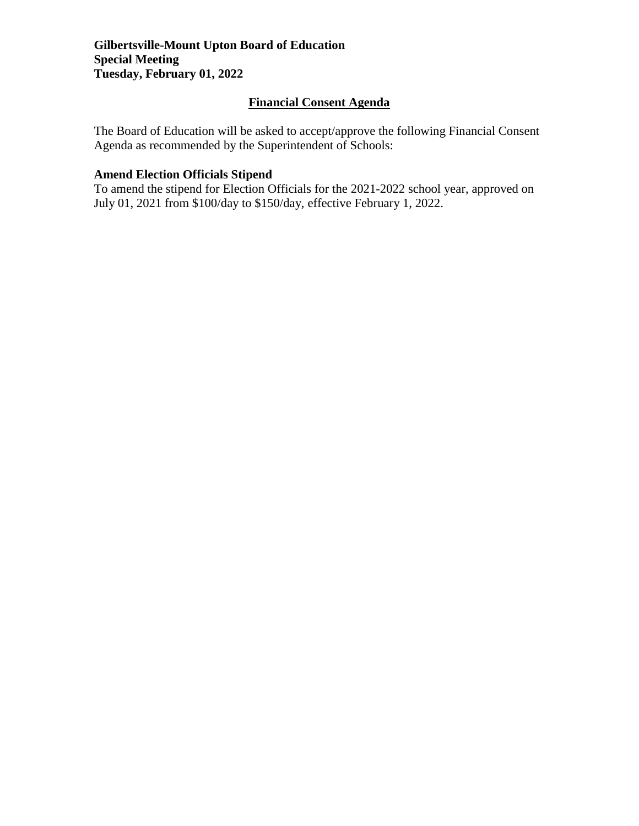## **Financial Consent Agenda**

The Board of Education will be asked to accept/approve the following Financial Consent Agenda as recommended by the Superintendent of Schools:

# **Amend Election Officials Stipend**

To amend the stipend for Election Officials for the 2021-2022 school year, approved on July 01, 2021 from \$100/day to \$150/day, effective February 1, 2022.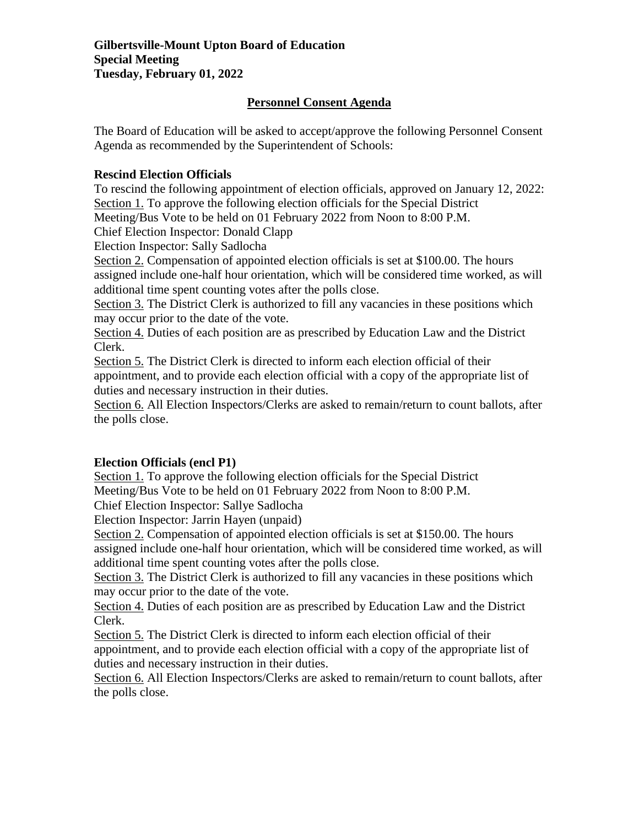## **Personnel Consent Agenda**

The Board of Education will be asked to accept/approve the following Personnel Consent Agenda as recommended by the Superintendent of Schools:

## **Rescind Election Officials**

To rescind the following appointment of election officials, approved on January 12, 2022: Section 1. To approve the following election officials for the Special District

Meeting/Bus Vote to be held on 01 February 2022 from Noon to 8:00 P.M.

Chief Election Inspector: Donald Clapp

Election Inspector: Sally Sadlocha

Section 2. Compensation of appointed election officials is set at \$100.00. The hours assigned include one-half hour orientation, which will be considered time worked, as will additional time spent counting votes after the polls close.

Section 3. The District Clerk is authorized to fill any vacancies in these positions which may occur prior to the date of the vote.

Section 4. Duties of each position are as prescribed by Education Law and the District Clerk.

Section 5. The District Clerk is directed to inform each election official of their appointment, and to provide each election official with a copy of the appropriate list of duties and necessary instruction in their duties.

Section 6. All Election Inspectors/Clerks are asked to remain/return to count ballots, after the polls close.

## **Election Officials (encl P1)**

Section 1. To approve the following election officials for the Special District Meeting/Bus Vote to be held on 01 February 2022 from Noon to 8:00 P.M.

Chief Election Inspector: Sallye Sadlocha

Election Inspector: Jarrin Hayen (unpaid)

Section 2. Compensation of appointed election officials is set at \$150.00. The hours assigned include one-half hour orientation, which will be considered time worked, as will additional time spent counting votes after the polls close.

Section 3. The District Clerk is authorized to fill any vacancies in these positions which may occur prior to the date of the vote.

Section 4. Duties of each position are as prescribed by Education Law and the District Clerk.

Section 5. The District Clerk is directed to inform each election official of their appointment, and to provide each election official with a copy of the appropriate list of duties and necessary instruction in their duties.

Section 6. All Election Inspectors/Clerks are asked to remain/return to count ballots, after the polls close.